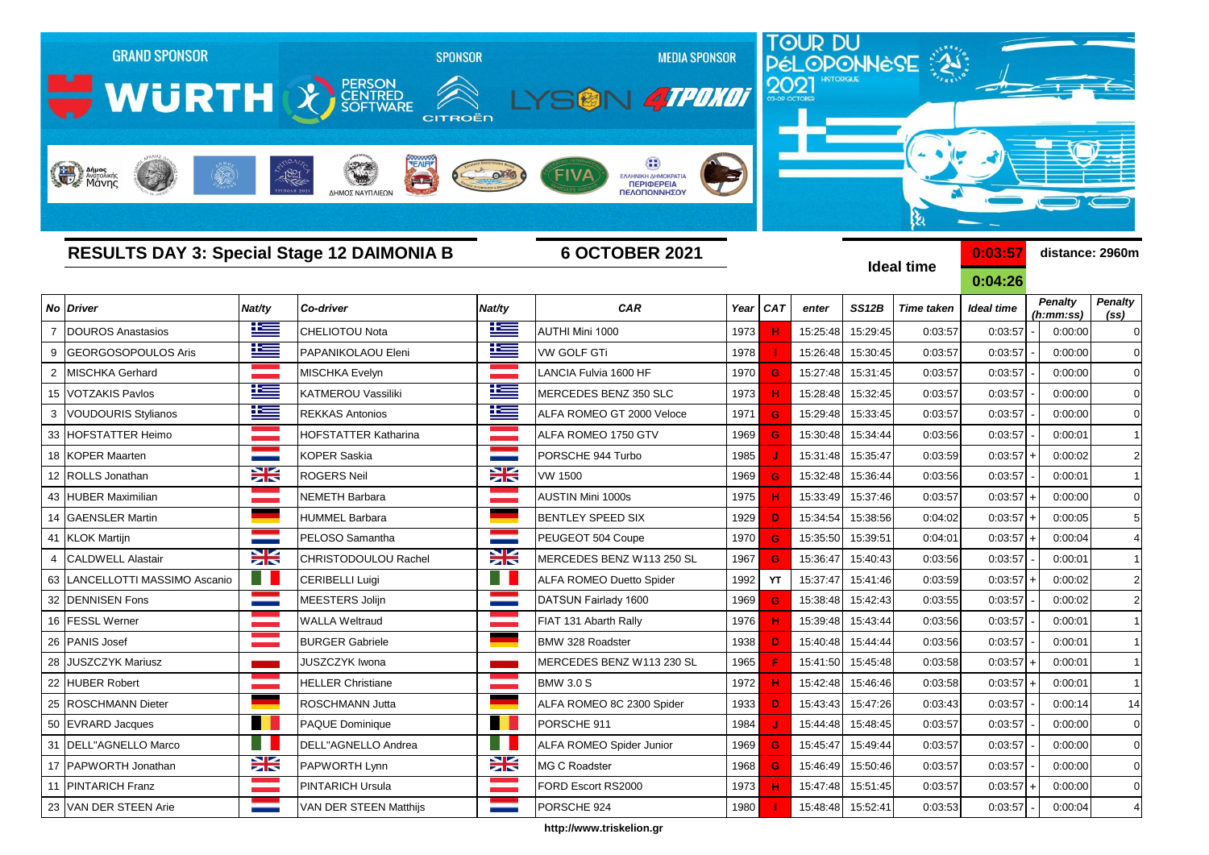

**http://www.triskelion.gr**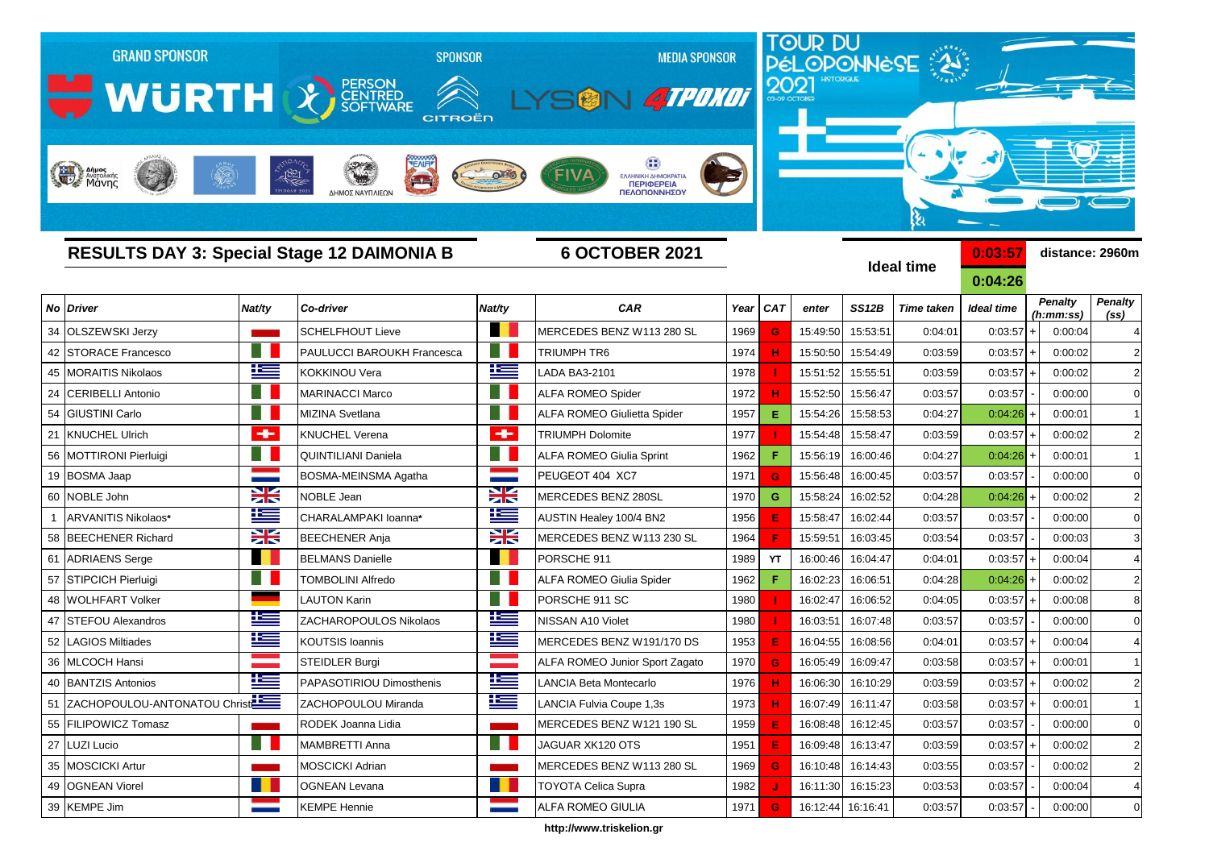

**http://www.triskelion.gr**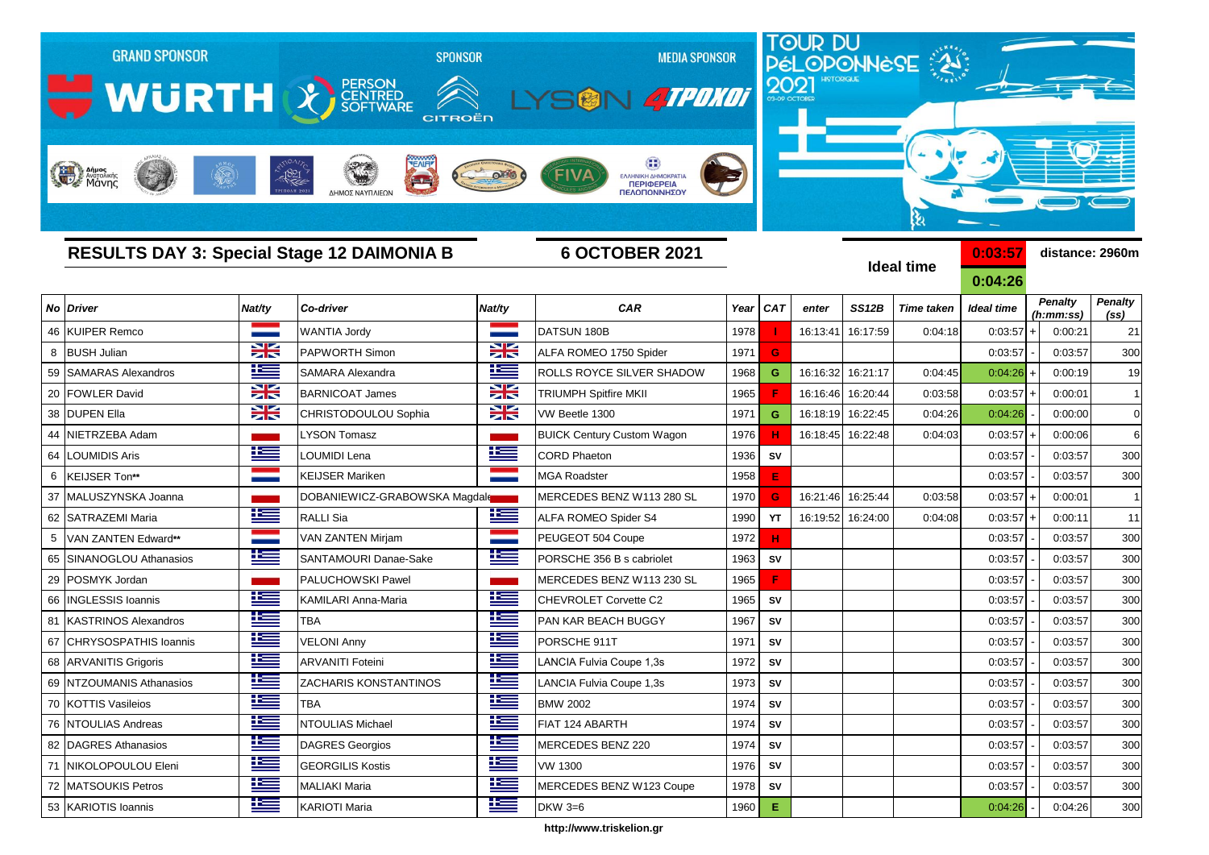

**http://www.triskelion.gr**